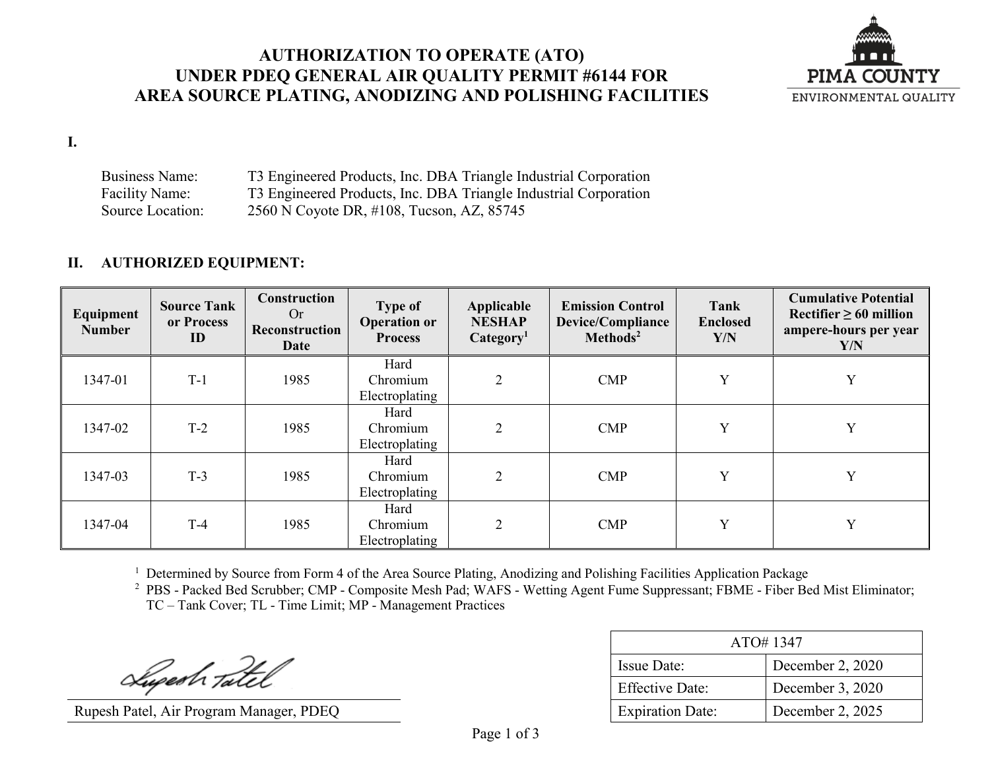### **AUTHORIZATION TO OPERATE (ATO) UNDER PDEQ GENERAL AIR QUALITY PERMIT #6144 FOR AREA SOURCE PLATING, ANODIZING AND POLISHING FACILITIES**



**I.**

Business Name: T3 Engineered Products, Inc. DBA Triangle Industrial Corporation Facility Name: T3 Engineered Products, Inc. DBA Triangle Industrial Corporation Source Location: 2560 N Coyote DR, #108, Tucson, AZ, 85745

### **II. AUTHORIZED EQUIPMENT:**

| Equipment<br><b>Number</b> | <b>Source Tank</b><br>or Process<br>ID | Construction<br>Or<br>Reconstruction<br><b>Date</b> | <b>Type of</b><br><b>Operation or</b><br><b>Process</b> | Applicable<br><b>NESHAP</b><br>Categorical <sub>1</sub> | <b>Emission Control</b><br>Device/Compliance<br>Methods <sup>2</sup> | Tank<br><b>Enclosed</b><br>Y/N | <b>Cumulative Potential</b><br>Rectifier $\geq 60$ million<br>ampere-hours per year<br>Y/N |
|----------------------------|----------------------------------------|-----------------------------------------------------|---------------------------------------------------------|---------------------------------------------------------|----------------------------------------------------------------------|--------------------------------|--------------------------------------------------------------------------------------------|
| 1347-01                    | $T-1$                                  | 1985                                                | Hard<br>Chromium<br>Electroplating                      | $\mathcal{L}$                                           | <b>CMP</b>                                                           | Y                              | Y                                                                                          |
| 1347-02                    | $T-2$                                  | 1985                                                | Hard<br>Chromium<br>Electroplating                      | $\overline{2}$                                          | $\mathbf{CMP}$                                                       | Y                              | Y                                                                                          |
| 1347-03                    | $T-3$                                  | 1985                                                | Hard<br>Chromium<br>Electroplating                      | 2                                                       | $\mathbf{CMP}$                                                       | $\mathbf{v}$                   | Y                                                                                          |
| 1347-04                    | $T-4$                                  | 1985                                                | Hard<br>Chromium<br>Electroplating                      | $\overline{2}$                                          | $\mathbf{CMP}$                                                       | $\mathbf{v}$                   | Y                                                                                          |

<sup>1</sup> Determined by Source from Form 4 of the Area Source Plating, Anodizing and Polishing Facilities Application Package

<sup>2</sup> PBS - Packed Bed Scrubber; CMP - Composite Mesh Pad; WAFS - Wetting Agent Fume Suppressant; FBME - Fiber Bed Mist Eliminator; TC – Tank Cover; TL - Time Limit; MP - Management Practices

Superh Tatel

Rupesh Patel, Air Program Manager, PDEQ

| ATO#1347                |                  |  |  |  |
|-------------------------|------------------|--|--|--|
| <b>Issue Date:</b>      | December 2, 2020 |  |  |  |
| <b>Effective Date:</b>  | December 3, 2020 |  |  |  |
| <b>Expiration Date:</b> | December 2, 2025 |  |  |  |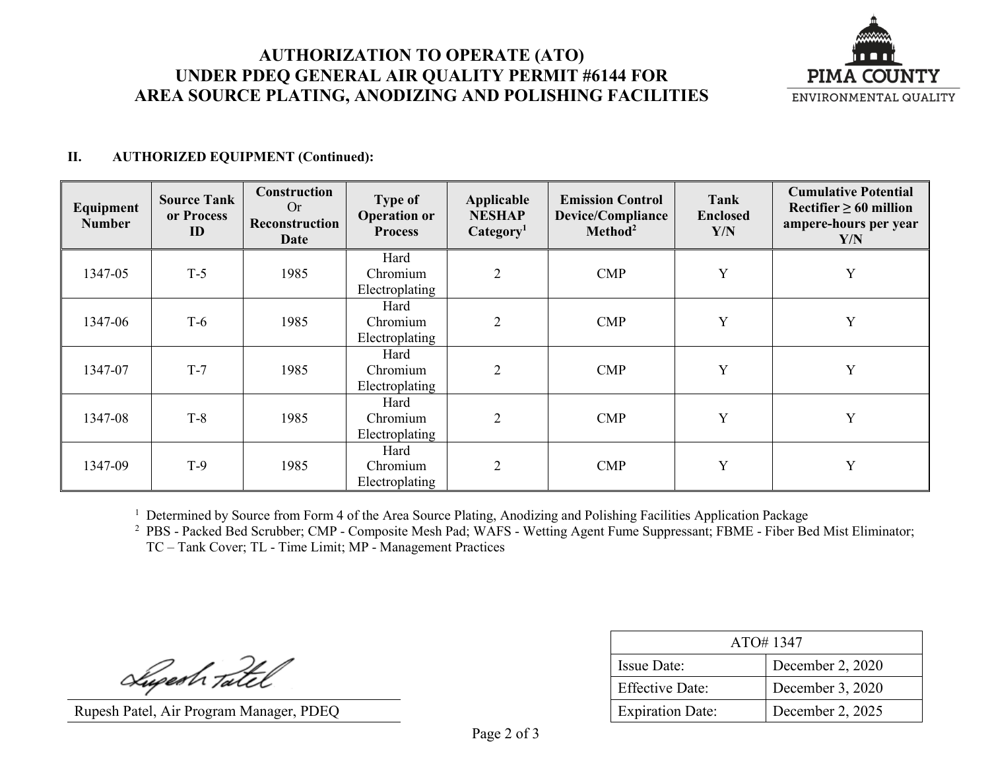# **AUTHORIZATION TO OPERATE (ATO) UNDER PDEQ GENERAL AIR QUALITY PERMIT #6144 FOR AREA SOURCE PLATING, ANODIZING AND POLISHING FACILITIES**



#### **II. AUTHORIZED EQUIPMENT (Continued):**

| Equipment<br><b>Number</b> | <b>Source Tank</b><br>or Process<br>ID | Construction<br>Or<br>Reconstruction<br>Date | <b>Type of</b><br><b>Operation or</b><br><b>Process</b> | Applicable<br><b>NESHAP</b><br>Category <sup>1</sup> | <b>Emission Control</b><br>Device/Compliance<br>Method <sup>2</sup> | Tank<br><b>Enclosed</b><br>Y/N | <b>Cumulative Potential</b><br>Rectifier $\geq 60$ million<br>ampere-hours per year<br>Y/N |
|----------------------------|----------------------------------------|----------------------------------------------|---------------------------------------------------------|------------------------------------------------------|---------------------------------------------------------------------|--------------------------------|--------------------------------------------------------------------------------------------|
| 1347-05                    | $T-5$                                  | 1985                                         | Hard<br>Chromium<br>Electroplating                      | $\overline{2}$                                       | $\mathbf{CMP}$                                                      | Y                              | Y                                                                                          |
| 1347-06                    | $T-6$                                  | 1985                                         | Hard<br>Chromium<br>Electroplating                      | $\overline{2}$                                       | $\text{CMP}$                                                        | Y                              | Y                                                                                          |
| 1347-07                    | $T-7$                                  | 1985                                         | Hard<br>Chromium<br>Electroplating                      | $\overline{2}$                                       | $\mathbf{CMP}$                                                      | Y                              | Y                                                                                          |
| 1347-08                    | $T-8$                                  | 1985                                         | Hard<br>Chromium<br>Electroplating                      | $\mathfrak{D}$                                       | $\mathbf{CMP}$                                                      | Y                              | Y                                                                                          |
| 1347-09                    | $T-9$                                  | 1985                                         | Hard<br>Chromium<br>Electroplating                      | $\mathfrak{D}$                                       | $\mathbf{CMP}$                                                      | Y                              | Y                                                                                          |

<sup>1</sup> Determined by Source from Form 4 of the Area Source Plating, Anodizing and Polishing Facilities Application Package

<sup>2</sup> PBS - Packed Bed Scrubber; CMP - Composite Mesh Pad; WAFS - Wetting Agent Fume Suppressant; FBME - Fiber Bed Mist Eliminator; TC – Tank Cover; TL - Time Limit; MP - Management Practices

Superh Tatel

Rupesh Patel, Air Program Manager, PDEQ

| ATO#1347                |                  |  |  |  |
|-------------------------|------------------|--|--|--|
| Issue Date:             | December 2, 2020 |  |  |  |
| <b>Effective Date:</b>  | December 3, 2020 |  |  |  |
| <b>Expiration Date:</b> | December 2, 2025 |  |  |  |